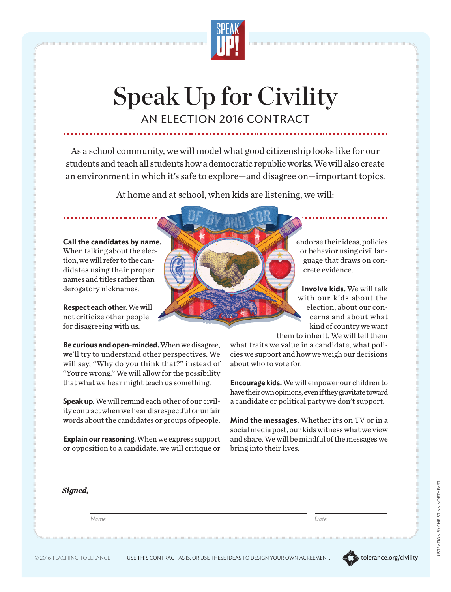

## Speak Up for Civility AN ELECTION 2016 CONTRACT

As a school community, we will model what good citizenship looks like for our students and teach all students how a democratic republic works. We will also create an environment in which it's safe to explore—and disagree on—important topics.

At home and at school, when kids are listening, we will:



endorse their ideas, policies or behavior using civil language that draws on concrete evidence.

**Involve kids.** We will talk with our kids about the election, about our concerns and about what kind of country we want

them to inherit. We will tell them what traits we value in a candidate, what policies we support and how we weigh our decisions about who to vote for.

**Encourage kids.** We will empower our children to have their own opinions, even if they gravitate toward a candidate or political party we don't support.

**Mind the messages.** Whether it's on TV or in a social media post, our kids witness what we view and share. We will be mindful of the messages we bring into their lives.

| $Signed, \_\_$ |      |
|----------------|------|
| Name           | Date |
|                |      |

**Be curious and open-minded.** When we disagree, we'll try to understand other perspectives. We will say, "Why do you think that?" instead of "You're wrong." We will allow for the possibility that what we hear might teach us something.

**Speak up.** We will remind each other of our civility contract when we hear disrespectful or unfair words about the candidates or groups of people.

**Explain our reasoning.** When we express support or opposition to a candidate, we will critique or